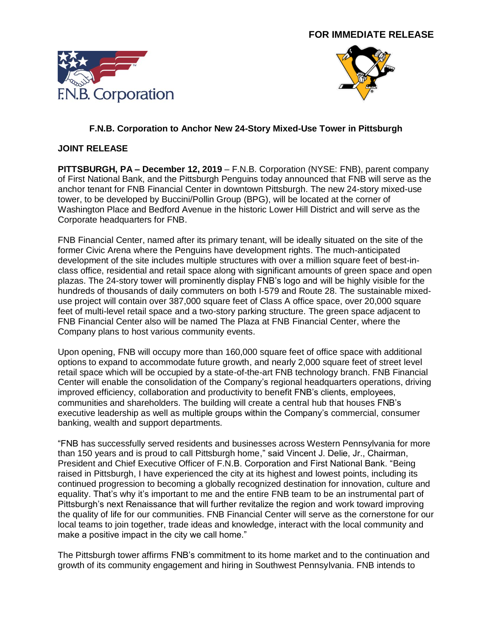



## **F.N.B. Corporation to Anchor New 24-Story Mixed-Use Tower in Pittsburgh**

#### **JOINT RELEASE**

**PITTSBURGH, PA – December 12, 2019** – F.N.B. Corporation (NYSE: FNB), parent company of First National Bank, and the Pittsburgh Penguins today announced that FNB will serve as the anchor tenant for FNB Financial Center in downtown Pittsburgh. The new 24-story mixed-use tower, to be developed by Buccini/Pollin Group (BPG), will be located at the corner of Washington Place and Bedford Avenue in the historic Lower Hill District and will serve as the Corporate headquarters for FNB.

FNB Financial Center, named after its primary tenant, will be ideally situated on the site of the former Civic Arena where the Penguins have development rights. The much-anticipated development of the site includes multiple structures with over a million square feet of best-inclass office, residential and retail space along with significant amounts of green space and open plazas. The 24-story tower will prominently display FNB's logo and will be highly visible for the hundreds of thousands of daily commuters on both I-579 and Route 28. The sustainable mixeduse project will contain over 387,000 square feet of Class A office space, over 20,000 square feet of multi-level retail space and a two-story parking structure. The green space adjacent to FNB Financial Center also will be named The Plaza at FNB Financial Center, where the Company plans to host various community events.

Upon opening, FNB will occupy more than 160,000 square feet of office space with additional options to expand to accommodate future growth, and nearly 2,000 square feet of street level retail space which will be occupied by a state-of-the-art FNB technology branch. FNB Financial Center will enable the consolidation of the Company's regional headquarters operations, driving improved efficiency, collaboration and productivity to benefit FNB's clients, employees, communities and shareholders. The building will create a central hub that houses FNB's executive leadership as well as multiple groups within the Company's commercial, consumer banking, wealth and support departments.

"FNB has successfully served residents and businesses across Western Pennsylvania for more than 150 years and is proud to call Pittsburgh home," said Vincent J. Delie, Jr., Chairman, President and Chief Executive Officer of F.N.B. Corporation and First National Bank. "Being raised in Pittsburgh, I have experienced the city at its highest and lowest points, including its continued progression to becoming a globally recognized destination for innovation, culture and equality. That's why it's important to me and the entire FNB team to be an instrumental part of Pittsburgh's next Renaissance that will further revitalize the region and work toward improving the quality of life for our communities. FNB Financial Center will serve as the cornerstone for our local teams to join together, trade ideas and knowledge, interact with the local community and make a positive impact in the city we call home."

The Pittsburgh tower affirms FNB's commitment to its home market and to the continuation and growth of its community engagement and hiring in Southwest Pennsylvania. FNB intends to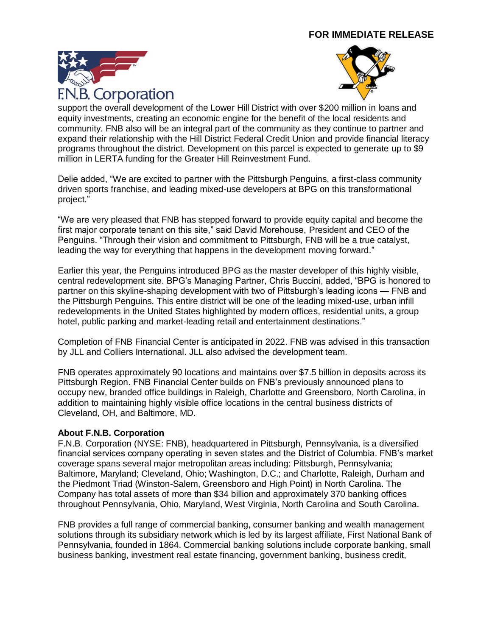



support the overall development of the Lower Hill District with over \$200 million in loans and equity investments, creating an economic engine for the benefit of the local residents and community. FNB also will be an integral part of the community as they continue to partner and expand their relationship with the Hill District Federal Credit Union and provide financial literacy programs throughout the district. Development on this parcel is expected to generate up to \$9 million in LERTA funding for the Greater Hill Reinvestment Fund.

Delie added, "We are excited to partner with the Pittsburgh Penguins, a first-class community driven sports franchise, and leading mixed-use developers at BPG on this transformational project."

"We are very pleased that FNB has stepped forward to provide equity capital and become the first major corporate tenant on this site," said David Morehouse, President and CEO of the Penguins. "Through their vision and commitment to Pittsburgh, FNB will be a true catalyst, leading the way for everything that happens in the development moving forward."

Earlier this year, the Penguins introduced BPG as the master developer of this highly visible, central redevelopment site. BPG's Managing Partner, Chris Buccini, added, "BPG is honored to partner on this skyline-shaping development with two of Pittsburgh's leading icons — FNB and the Pittsburgh Penguins. This entire district will be one of the leading mixed-use, urban infill redevelopments in the United States highlighted by modern offices, residential units, a group hotel, public parking and market-leading retail and entertainment destinations."

Completion of FNB Financial Center is anticipated in 2022. FNB was advised in this transaction by JLL and Colliers International. JLL also advised the development team.

FNB operates approximately 90 locations and maintains over \$7.5 billion in deposits across its Pittsburgh Region. FNB Financial Center builds on FNB's previously announced plans to occupy new, branded office buildings in Raleigh, Charlotte and Greensboro, North Carolina, in addition to maintaining highly visible office locations in the central business districts of Cleveland, OH, and Baltimore, MD.

#### **About F.N.B. Corporation**

F.N.B. Corporation (NYSE: FNB), headquartered in Pittsburgh, Pennsylvania, is a diversified financial services company operating in seven states and the District of Columbia. FNB's market coverage spans several major metropolitan areas including: Pittsburgh, Pennsylvania; Baltimore, Maryland; Cleveland, Ohio; Washington, D.C.; and Charlotte, Raleigh, Durham and the Piedmont Triad (Winston-Salem, Greensboro and High Point) in North Carolina. The Company has total assets of more than \$34 billion and approximately 370 banking offices throughout Pennsylvania, Ohio, Maryland, West Virginia, North Carolina and South Carolina.

FNB provides a full range of commercial banking, consumer banking and wealth management solutions through its subsidiary network which is led by its largest affiliate, First National Bank of Pennsylvania, founded in 1864. Commercial banking solutions include corporate banking, small business banking, investment real estate financing, government banking, business credit,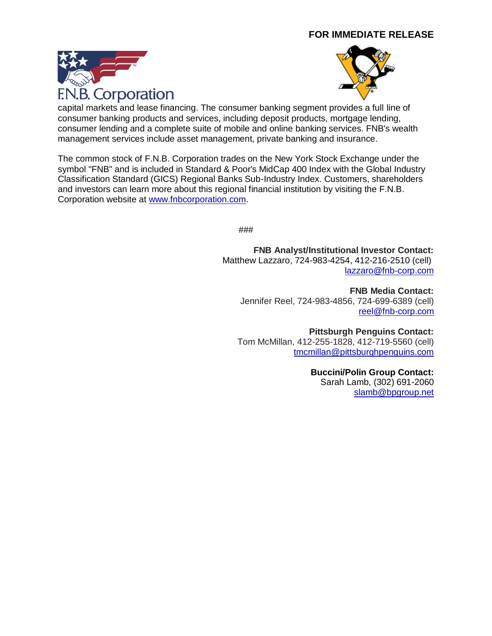



capital markets and lease financing. The consumer banking segment provides a full line of consumer banking products and services, including deposit products, mortgage lending, consumer lending and a complete suite of mobile and online banking services. FNB's wealth management services include asset management, private banking and insurance.

The common stock of F.N.B. Corporation trades on the New York Stock Exchange under the symbol "FNB" and is included in Standard & Poor's MidCap 400 Index with the Global Industry Classification Standard (GICS) Regional Banks Sub-Industry Index. Customers, shareholders and investors can learn more about this regional financial institution by visiting the F.N.B. Corporation website at [www.fnbcorporation.com.](http://www.fnbcorporation.com/)

###

**FNB Analyst/Institutional Investor Contact:**  Matthew Lazzaro, 724-983-4254, 412-216-2510 (cell) [lazzaro@fnb-corp.com](mailto:lazzaro@fnb-corp.com)

**FNB Media Contact:** Jennifer Reel, [724-](mailto:412.339.5112)983-4856, 724-699-6389 (cell) [reel@fnb-corp.com](mailto:reel@fnb-corp.com)

**Pittsburgh Penguins Contact:** Tom McMillan, 412-255-1828, 412-719-5560 (cell) [tmcmillan@pittsburghpenguins.com](mailto:tmcmillan@pittsburghpenguins.com)

**Buccini/Polin Group Contact:**

Sarah Lamb, (302) 691-2060 [slamb@bpgroup.net](mailto:slamb@bpgroup.net)